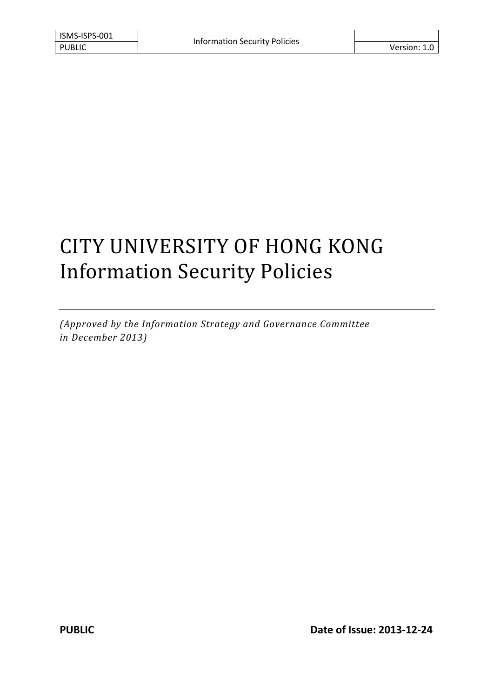# CITY UNIVERSITY OF HONG KONG Information Security Policies

*(Approved by the Information Strategy and Governance Committee in December 2013)*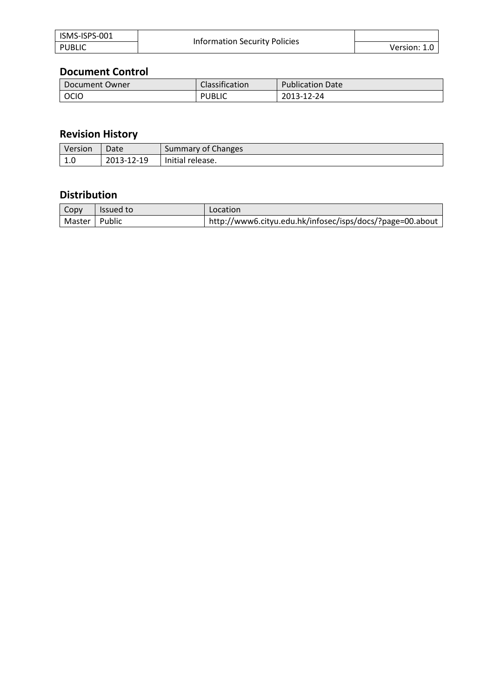| ISMS-ISPS-001 | <b>Information Security Policies</b> |                |
|---------------|--------------------------------------|----------------|
| PUBLIC        |                                      | Version: 1.0 I |

## **Document Control**

| Document Owner | Classification | <b>Publication Date</b> |
|----------------|----------------|-------------------------|
| <b>OCIO</b>    | <b>PUBLIC</b>  | 2013-12-24              |

## **Revision History**

| Version                      | Date                           | Summary of Changes       |
|------------------------------|--------------------------------|--------------------------|
| $\overline{ }$<br><b>T.N</b> | $2013 - 1$<br>$2 - 19$<br>201J | .<br>release.<br>Initial |

## **Distribution**

| Copy            | <b>Issued to</b> | Location                                                  |
|-----------------|------------------|-----------------------------------------------------------|
| Master   Public |                  | http://www6.cityu.edu.hk/infosec/isps/docs/?page=00.about |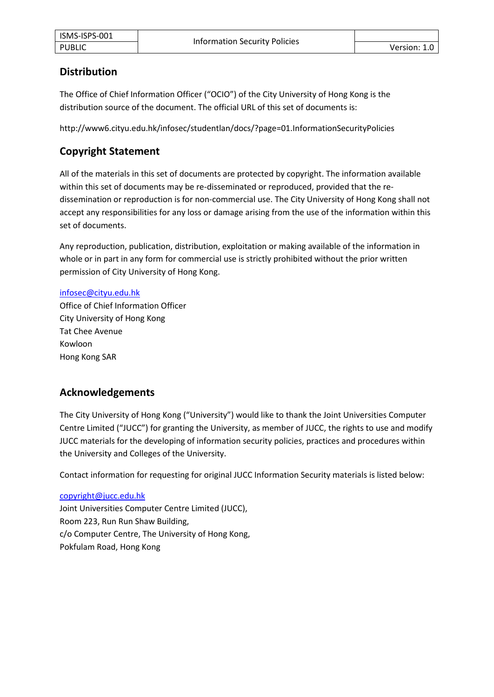## **Distribution**

The Office of Chief Information Officer ("OCIO") of the City University of Hong Kong is the distribution source of the document. The official URL of this set of documents is:

http://www6.cityu.edu.hk/infosec/studentlan/docs/?page=01.InformationSecurityPolicies

## **Copyright Statement**

All of the materials in this set of documents are protected by copyright. The information available within this set of documents may be re-disseminated or reproduced, provided that the redissemination or reproduction is for non-commercial use. The City University of Hong Kong shall not accept any responsibilities for any loss or damage arising from the use of the information within this set of documents.

Any reproduction, publication, distribution, exploitation or making available of the information in whole or in part in any form for commercial use is strictly prohibited without the prior written permission of City University of Hong Kong.

#### [infosec@cityu.edu.hk](mailto:infosec@cityu.edu.hk)

Office of Chief Information Officer City University of Hong Kong Tat Chee Avenue Kowloon Hong Kong SAR

## **Acknowledgements**

The City University of Hong Kong ("University") would like to thank the Joint Universities Computer Centre Limited ("JUCC") for granting the University, as member of JUCC, the rights to use and modify JUCC materials for the developing of information security policies, practices and procedures within the University and Colleges of the University.

Contact information for requesting for original JUCC Information Security materials is listed below:

[copyright@jucc.edu.hk](mailto:copyright@jucc.edu.hk) Joint Universities Computer Centre Limited (JUCC), Room 223, Run Run Shaw Building, c/o Computer Centre, The University of Hong Kong, Pokfulam Road, Hong Kong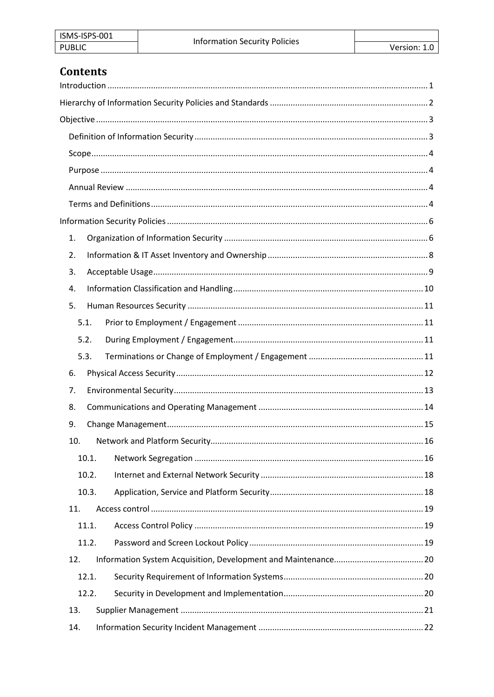# Contents

| 1.  |       |  |
|-----|-------|--|
| 2.  |       |  |
| 3.  |       |  |
| 4.  |       |  |
| 5.  |       |  |
|     | 5.1.  |  |
|     | 5.2.  |  |
|     | 5.3.  |  |
| 6.  |       |  |
| 7.  |       |  |
| 8.  |       |  |
| 9.  |       |  |
| 10. |       |  |
|     | 10.1. |  |
|     | 10.2. |  |
|     | 10.3. |  |
| 11. |       |  |
|     | 11.1. |  |
|     | 11.2. |  |
| 12. |       |  |
|     | 12.1. |  |
|     | 12.2. |  |
| 13. |       |  |
| 14. |       |  |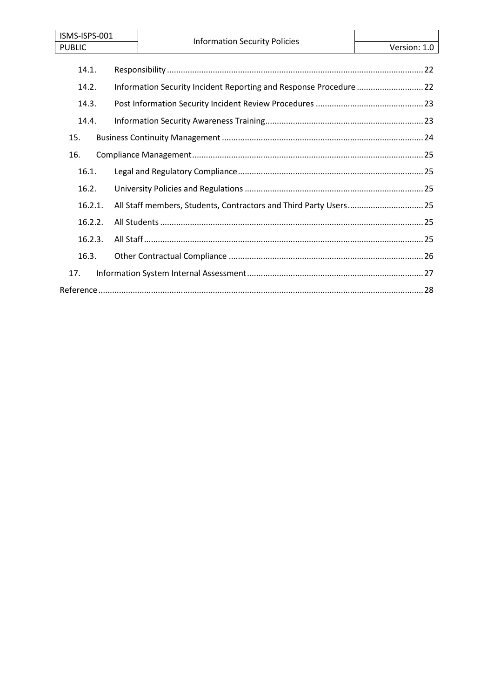| ISMS-ISPS-001 | <b>Information Security Policies</b>                               |              |
|---------------|--------------------------------------------------------------------|--------------|
| <b>PUBLIC</b> |                                                                    | Version: 1.0 |
|               |                                                                    |              |
| 14.1.         |                                                                    |              |
| 14.2.         | Information Security Incident Reporting and Response Procedure  22 |              |
| 14.3.         |                                                                    |              |
| 14.4.         |                                                                    |              |
| 15.           |                                                                    |              |
| 16.           |                                                                    |              |
| 16.1.         |                                                                    |              |
| 16.2.         |                                                                    |              |
| 16.2.1.       |                                                                    |              |
| 16.2.2.       |                                                                    |              |
| 16.2.3.       |                                                                    |              |
| 16.3.         |                                                                    |              |
| 17.           |                                                                    |              |
|               |                                                                    |              |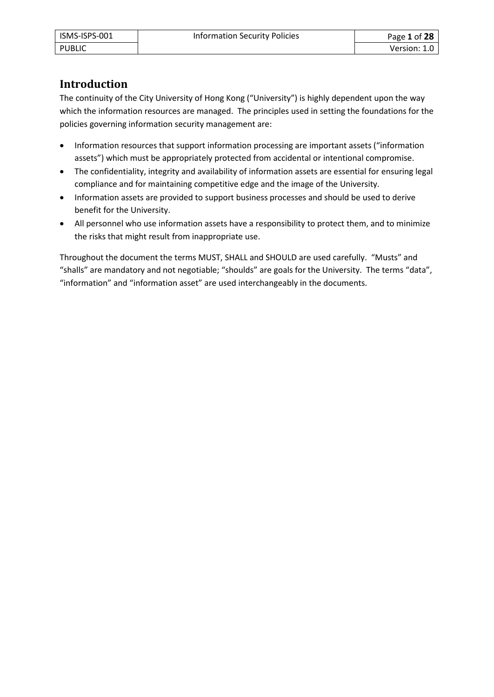## <span id="page-5-0"></span>**Introduction**

The continuity of the City University of Hong Kong ("University") is highly dependent upon the way which the information resources are managed. The principles used in setting the foundations for the policies governing information security management are:

- Information resources that support information processing are important assets ("information assets") which must be appropriately protected from accidental or intentional compromise.
- The confidentiality, integrity and availability of information assets are essential for ensuring legal compliance and for maintaining competitive edge and the image of the University.
- Information assets are provided to support business processes and should be used to derive benefit for the University.
- All personnel who use information assets have a responsibility to protect them, and to minimize the risks that might result from inappropriate use.

Throughout the document the terms MUST, SHALL and SHOULD are used carefully. "Musts" and "shalls" are mandatory and not negotiable; "shoulds" are goals for the University. The terms "data", "information" and "information asset" are used interchangeably in the documents.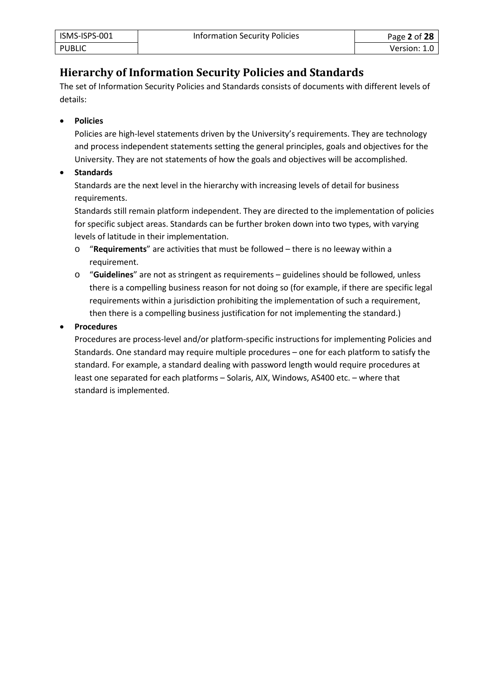| ISMS-ISPS-001 | <b>Information Security Policies</b> | Page 2 of 28 |
|---------------|--------------------------------------|--------------|
| PUBLIC        |                                      | Version: 1.0 |

## <span id="page-6-0"></span>**Hierarchy of Information Security Policies and Standards**

The set of Information Security Policies and Standards consists of documents with different levels of details:

#### • **Policies**

Policies are high-level statements driven by the University's requirements. They are technology and process independent statements setting the general principles, goals and objectives for the University. They are not statements of how the goals and objectives will be accomplished.

#### • **Standards**

Standards are the next level in the hierarchy with increasing levels of detail for business requirements.

Standards still remain platform independent. They are directed to the implementation of policies for specific subject areas. Standards can be further broken down into two types, with varying levels of latitude in their implementation.

- o "**Requirements**" are activities that must be followed there is no leeway within a requirement.
- o "**Guidelines**" are not as stringent as requirements guidelines should be followed, unless there is a compelling business reason for not doing so (for example, if there are specific legal requirements within a jurisdiction prohibiting the implementation of such a requirement, then there is a compelling business justification for not implementing the standard.)

#### • **Procedures**

Procedures are process-level and/or platform-specific instructions for implementing Policies and Standards. One standard may require multiple procedures – one for each platform to satisfy the standard. For example, a standard dealing with password length would require procedures at least one separated for each platforms – Solaris, AIX, Windows, AS400 etc. – where that standard is implemented.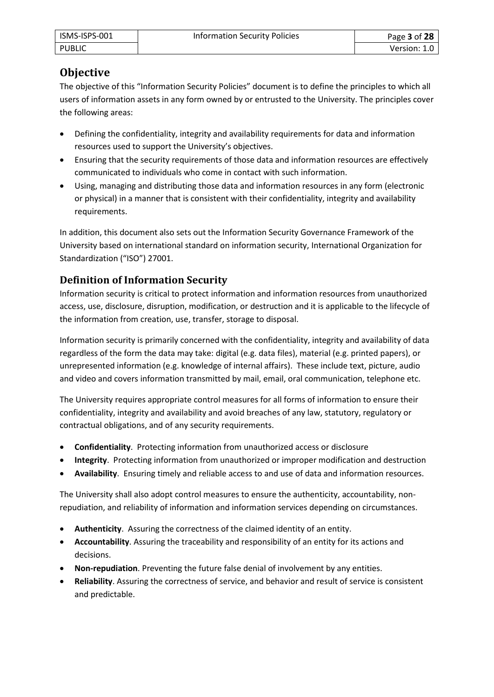## <span id="page-7-0"></span>**Objective**

The objective of this "Information Security Policies" document is to define the principles to which all users of information assets in any form owned by or entrusted to the University. The principles cover the following areas:

- Defining the confidentiality, integrity and availability requirements for data and information resources used to support the University's objectives.
- Ensuring that the security requirements of those data and information resources are effectively communicated to individuals who come in contact with such information.
- Using, managing and distributing those data and information resources in any form (electronic or physical) in a manner that is consistent with their confidentiality, integrity and availability requirements.

In addition, this document also sets out the Information Security Governance Framework of the University based on international standard on information security, International Organization for Standardization ("ISO") 27001.

## <span id="page-7-1"></span>**Definition of Information Security**

Information security is critical to protect information and information resources from unauthorized access, use, disclosure, disruption, modification, or destruction and it is applicable to the lifecycle of the information from creation, use, transfer, storage to disposal.

Information security is primarily concerned with the confidentiality, integrity and availability of data regardless of the form the data may take: digital (e.g. data files), material (e.g. printed papers), or unrepresented information (e.g. knowledge of internal affairs). These include text, picture, audio and video and covers information transmitted by mail, email, oral communication, telephone etc.

The University requires appropriate control measures for all forms of information to ensure their confidentiality, integrity and availability and avoid breaches of any law, statutory, regulatory or contractual obligations, and of any security requirements.

- **Confidentiality**. Protecting information from unauthorized access or disclosure
- **Integrity**. Protecting information from unauthorized or improper modification and destruction
- **Availability**. Ensuring timely and reliable access to and use of data and information resources.

The University shall also adopt control measures to ensure the authenticity, accountability, nonrepudiation, and reliability of information and information services depending on circumstances.

- **Authenticity**. Assuring the correctness of the claimed identity of an entity.
- **Accountability**. Assuring the traceability and responsibility of an entity for its actions and decisions.
- **Non-repudiation**. Preventing the future false denial of involvement by any entities.
- **Reliability**. Assuring the correctness of service, and behavior and result of service is consistent and predictable.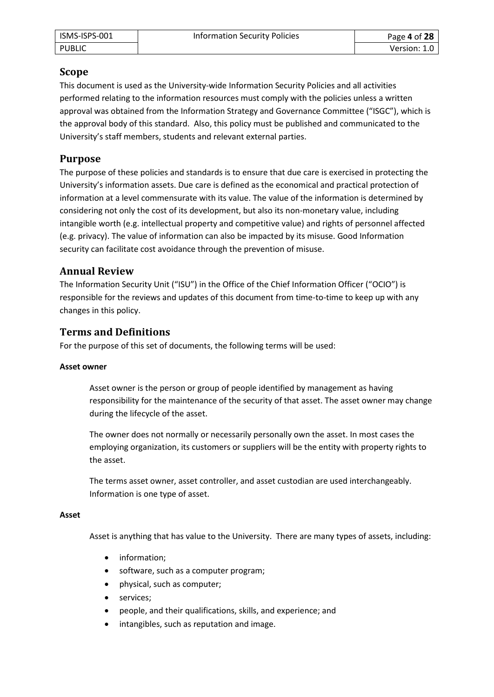| ISMS-ISPS-001 | <b>Information Security Policies</b> | Page 4 of 28 |
|---------------|--------------------------------------|--------------|
| <b>PUBLIC</b> |                                      | Version: 1.0 |

## <span id="page-8-0"></span>**Scope**

This document is used as the University-wide Information Security Policies and all activities performed relating to the information resources must comply with the policies unless a written approval was obtained from the Information Strategy and Governance Committee ("ISGC"), which is the approval body of this standard. Also, this policy must be published and communicated to the University's staff members, students and relevant external parties.

## <span id="page-8-1"></span>**Purpose**

The purpose of these policies and standards is to ensure that due care is exercised in protecting the University's information assets. Due care is defined as the economical and practical protection of information at a level commensurate with its value. The value of the information is determined by considering not only the cost of its development, but also its non-monetary value, including intangible worth (e.g. intellectual property and competitive value) and rights of personnel affected (e.g. privacy). The value of information can also be impacted by its misuse. Good Information security can facilitate cost avoidance through the prevention of misuse.

## <span id="page-8-2"></span>**Annual Review**

The Information Security Unit ("ISU") in the Office of the Chief Information Officer ("OCIO") is responsible for the reviews and updates of this document from time-to-time to keep up with any changes in this policy.

## <span id="page-8-3"></span>**Terms and Definitions**

For the purpose of this set of documents, the following terms will be used:

#### **Asset owner**

Asset owner is the person or group of people identified by management as having responsibility for the maintenance of the security of that asset. The asset owner may change during the lifecycle of the asset.

The owner does not normally or necessarily personally own the asset. In most cases the employing organization, its customers or suppliers will be the entity with property rights to the asset.

The terms asset owner, asset controller, and asset custodian are used interchangeably. Information is one type of asset.

#### **Asset**

Asset is anything that has value to the University. There are many types of assets, including:

- information;
- software, such as a computer program;
- physical, such as computer;
- services;
- people, and their qualifications, skills, and experience; and
- intangibles, such as reputation and image.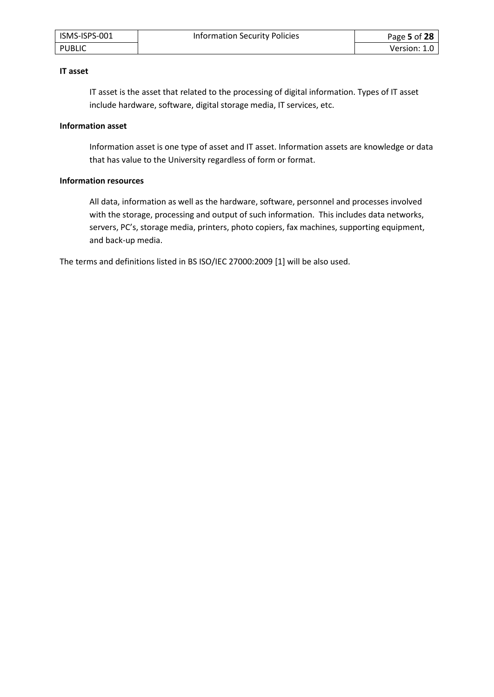| ISMS-ISPS-001 | <b>Information Security Policies</b> | Page 5 of 28 |
|---------------|--------------------------------------|--------------|
| <b>PUBLIC</b> |                                      | Version: 1.0 |

#### **IT asset**

IT asset is the asset that related to the processing of digital information. Types of IT asset include hardware, software, digital storage media, IT services, etc.

#### **Information asset**

Information asset is one type of asset and IT asset. Information assets are knowledge or data that has value to the University regardless of form or format.

#### **Information resources**

All data, information as well as the hardware, software, personnel and processes involved with the storage, processing and output of such information. This includes data networks, servers, PC's, storage media, printers, photo copiers, fax machines, supporting equipment, and back-up media.

The terms and definitions listed in BS ISO/IEC 27000:2009 [1] will be also used.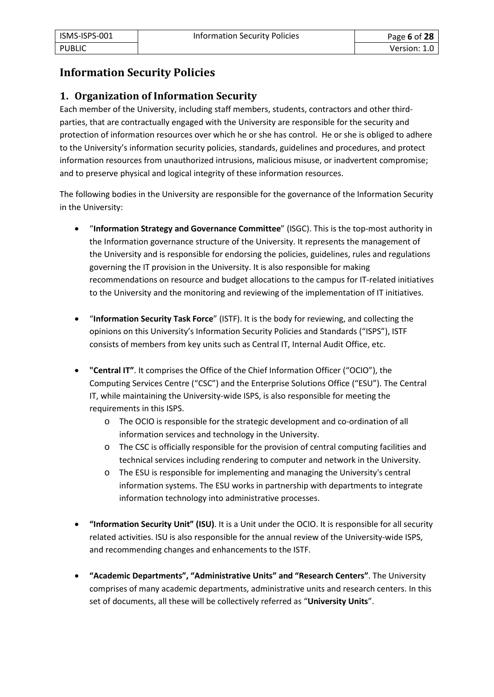## <span id="page-10-0"></span>**Information Security Policies**

## <span id="page-10-1"></span>**1. Organization of Information Security**

Each member of the University, including staff members, students, contractors and other thirdparties, that are contractually engaged with the University are responsible for the security and protection of information resources over which he or she has control. He or she is obliged to adhere to the University's information security policies, standards, guidelines and procedures, and protect information resources from unauthorized intrusions, malicious misuse, or inadvertent compromise; and to preserve physical and logical integrity of these information resources.

The following bodies in the University are responsible for the governance of the Information Security in the University:

- "**Information Strategy and Governance Committee**" (ISGC). This is the top-most authority in the Information governance structure of the University. It represents the management of the University and is responsible for endorsing the policies, guidelines, rules and regulations governing the IT provision in the University. It is also responsible for making recommendations on resource and budget allocations to the campus for IT-related initiatives to the University and the monitoring and reviewing of the implementation of IT initiatives.
- "**Information Security Task Force**" (ISTF). It is the body for reviewing, and collecting the opinions on this University's Information Security Policies and Standards ("ISPS"), ISTF consists of members from key units such as Central IT, Internal Audit Office, etc.
- **"Central IT"**. It comprises the Office of the Chief Information Officer ("OCIO"), the Computing Services Centre ("CSC") and the Enterprise Solutions Office ("ESU"). The Central IT, while maintaining the University-wide ISPS, is also responsible for meeting the requirements in this ISPS.
	- o The OCIO is responsible for the strategic development and co-ordination of all information services and technology in the University.
	- o The CSC is officially responsible for the provision of central computing facilities and technical services including rendering to computer and network in the University.
	- o The ESU is responsible for implementing and managing the University's central information systems. The ESU works in partnership with departments to integrate information technology into administrative processes.
- **"Information Security Unit" (ISU)**. It is a Unit under the OCIO. It is responsible for all security related activities. ISU is also responsible for the annual review of the University-wide ISPS, and recommending changes and enhancements to the ISTF.
- **"Academic Departments", "Administrative Units" and "Research Centers"**. The University comprises of many academic departments, administrative units and research centers. In this set of documents, all these will be collectively referred as "**University Units**".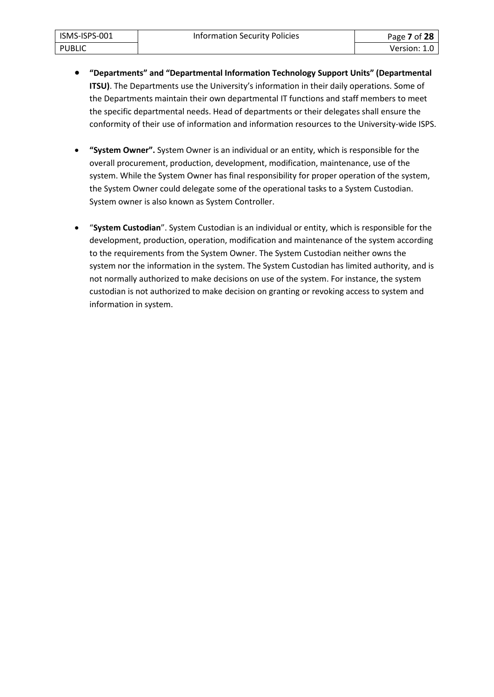- **"Departments" and "Departmental Information Technology Support Units" (Departmental ITSU)**. The Departments use the University's information in their daily operations. Some of the Departments maintain their own departmental IT functions and staff members to meet the specific departmental needs. Head of departments or their delegates shall ensure the conformity of their use of information and information resources to the University-wide ISPS.
- **"System Owner".** System Owner is an individual or an entity, which is responsible for the overall procurement, production, development, modification, maintenance, use of the system. While the System Owner has final responsibility for proper operation of the system, the System Owner could delegate some of the operational tasks to a System Custodian. System owner is also known as System Controller.
- "**System Custodian**". System Custodian is an individual or entity, which is responsible for the development, production, operation, modification and maintenance of the system according to the requirements from the System Owner. The System Custodian neither owns the system nor the information in the system. The System Custodian has limited authority, and is not normally authorized to make decisions on use of the system. For instance, the system custodian is not authorized to make decision on granting or revoking access to system and information in system.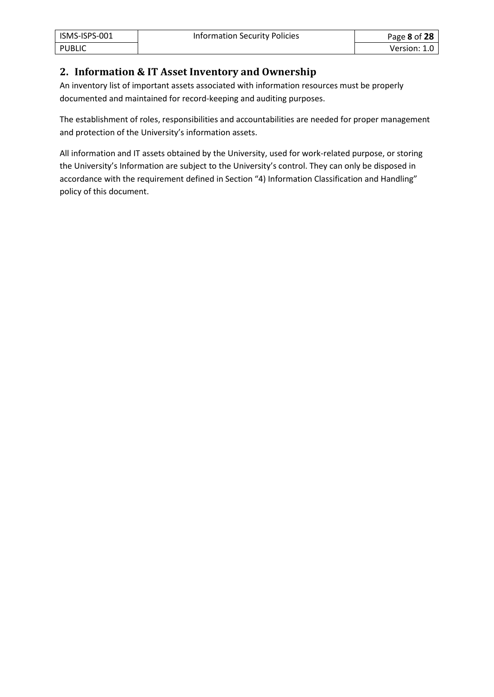| ISMS-ISPS-001 | <b>Information Security Policies</b> | Page 8 of 28 |
|---------------|--------------------------------------|--------------|
| PUBLIC        |                                      | Version: 1.0 |

## <span id="page-12-0"></span>**2. Information & IT Asset Inventory and Ownership**

An inventory list of important assets associated with information resources must be properly documented and maintained for record-keeping and auditing purposes.

The establishment of roles, responsibilities and accountabilities are needed for proper management and protection of the University's information assets.

All information and IT assets obtained by the University, used for work-related purpose, or storing the University's Information are subject to the University's control. They can only be disposed in accordance with the requirement defined in Section "4) Information Classification and Handling" policy of this document.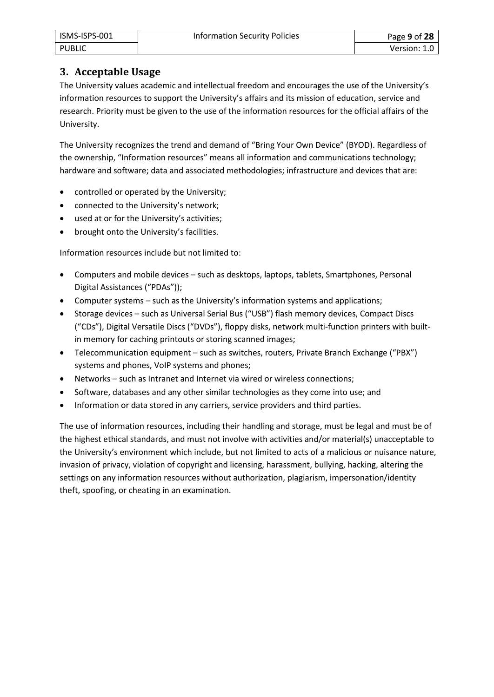## <span id="page-13-0"></span>**3. Acceptable Usage**

The University values academic and intellectual freedom and encourages the use of the University's information resources to support the University's affairs and its mission of education, service and research. Priority must be given to the use of the information resources for the official affairs of the University.

The University recognizes the trend and demand of "Bring Your Own Device" (BYOD). Regardless of the ownership, "Information resources" means all information and communications technology; hardware and software; data and associated methodologies; infrastructure and devices that are:

- controlled or operated by the University;
- connected to the University's network;
- used at or for the University's activities;
- brought onto the University's facilities.

Information resources include but not limited to:

- Computers and mobile devices such as desktops, laptops, tablets, Smartphones, Personal Digital Assistances ("PDAs"));
- Computer systems such as the University's information systems and applications;
- Storage devices such as Universal Serial Bus ("USB") flash memory devices, Compact Discs ("CDs"), Digital Versatile Discs ("DVDs"), floppy disks, network multi-function printers with builtin memory for caching printouts or storing scanned images;
- Telecommunication equipment such as switches, routers, Private Branch Exchange ("PBX") systems and phones, VoIP systems and phones;
- Networks such as Intranet and Internet via wired or wireless connections;
- Software, databases and any other similar technologies as they come into use; and
- Information or data stored in any carriers, service providers and third parties.

The use of information resources, including their handling and storage, must be legal and must be of the highest ethical standards, and must not involve with activities and/or material(s) unacceptable to the University's environment which include, but not limited to acts of a malicious or nuisance nature, invasion of privacy, violation of copyright and licensing, harassment, bullying, hacking, altering the settings on any information resources without authorization, plagiarism, impersonation/identity theft, spoofing, or cheating in an examination.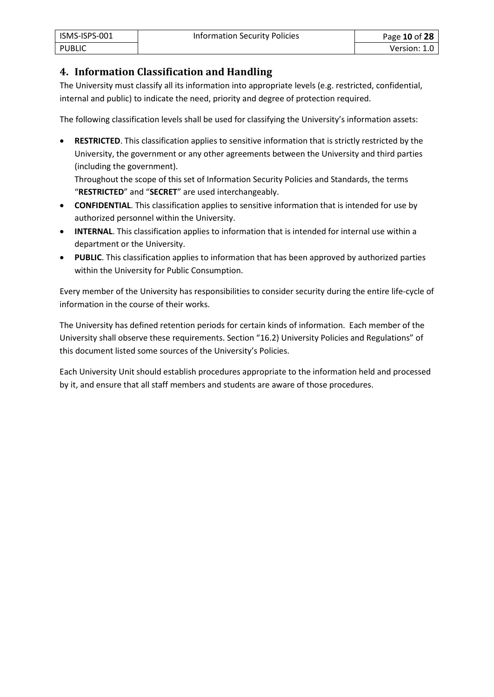| ISMS-ISPS-001 | <b>Information Security Policies</b> | Page 10 of 28 |
|---------------|--------------------------------------|---------------|
| PUBLIC        |                                      | Version: 1.0  |

## <span id="page-14-0"></span>**4. Information Classification and Handling**

The University must classify all its information into appropriate levels (e.g. restricted, confidential, internal and public) to indicate the need, priority and degree of protection required.

The following classification levels shall be used for classifying the University's information assets:

• **RESTRICTED**. This classification applies to sensitive information that is strictly restricted by the University, the government or any other agreements between the University and third parties (including the government).

Throughout the scope of this set of Information Security Policies and Standards, the terms "**RESTRICTED**" and "**SECRET**" are used interchangeably.

- **CONFIDENTIAL**. This classification applies to sensitive information that is intended for use by authorized personnel within the University.
- **INTERNAL**. This classification applies to information that is intended for internal use within a department or the University.
- **PUBLIC**. This classification applies to information that has been approved by authorized parties within the University for Public Consumption.

Every member of the University has responsibilities to consider security during the entire life-cycle of information in the course of their works.

The University has defined retention periods for certain kinds of information. Each member of the University shall observe these requirements. Section "16.2) University Policies and Regulations" of this document listed some sources of the University's Policies.

Each University Unit should establish procedures appropriate to the information held and processed by it, and ensure that all staff members and students are aware of those procedures.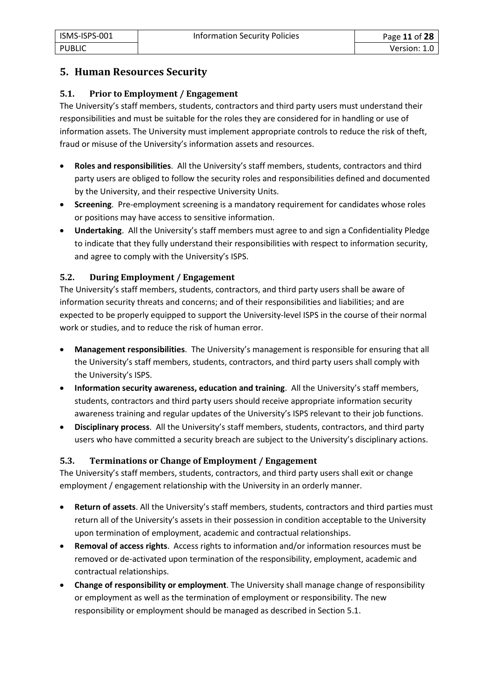#### <span id="page-15-1"></span><span id="page-15-0"></span>**5.1. Prior to Employment / Engagement**

The University's staff members, students, contractors and third party users must understand their responsibilities and must be suitable for the roles they are considered for in handling or use of information assets. The University must implement appropriate controls to reduce the risk of theft, fraud or misuse of the University's information assets and resources.

- **Roles and responsibilities**. All the University's staff members, students, contractors and third party users are obliged to follow the security roles and responsibilities defined and documented by the University, and their respective University Units.
- **Screening**. Pre-employment screening is a mandatory requirement for candidates whose roles or positions may have access to sensitive information.
- **Undertaking**. All the University's staff members must agree to and sign a Confidentiality Pledge to indicate that they fully understand their responsibilities with respect to information security, and agree to comply with the University's ISPS.

#### <span id="page-15-2"></span>**5.2. During Employment / Engagement**

The University's staff members, students, contractors, and third party users shall be aware of information security threats and concerns; and of their responsibilities and liabilities; and are expected to be properly equipped to support the University-level ISPS in the course of their normal work or studies, and to reduce the risk of human error.

- **Management responsibilities**. The University's management is responsible for ensuring that all the University's staff members, students, contractors, and third party users shall comply with the University's ISPS.
- **Information security awareness, education and training**. All the University's staff members, students, contractors and third party users should receive appropriate information security awareness training and regular updates of the University's ISPS relevant to their job functions.
- **Disciplinary process**. All the University's staff members, students, contractors, and third party users who have committed a security breach are subject to the University's disciplinary actions.

#### <span id="page-15-3"></span>**5.3. Terminations or Change of Employment / Engagement**

The University's staff members, students, contractors, and third party users shall exit or change employment / engagement relationship with the University in an orderly manner.

- **Return of assets**. All the University's staff members, students, contractors and third parties must return all of the University's assets in their possession in condition acceptable to the University upon termination of employment, academic and contractual relationships.
- **Removal of access rights**. Access rights to information and/or information resources must be removed or de-activated upon termination of the responsibility, employment, academic and contractual relationships.
- **Change of responsibility or employment**. The University shall manage change of responsibility or employment as well as the termination of employment or responsibility. The new responsibility or employment should be managed as described in Section 5.1.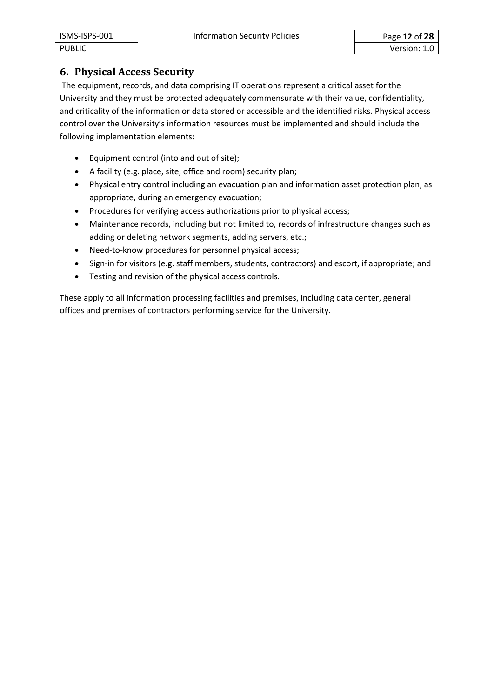| ISMS-ISPS-001 | <b>Information Security Policies</b> | Page 12 of 28 |
|---------------|--------------------------------------|---------------|
| PUBLIC        |                                      | Version: 1.0  |

## <span id="page-16-0"></span>**6. Physical Access Security**

The equipment, records, and data comprising IT operations represent a critical asset for the University and they must be protected adequately commensurate with their value, confidentiality, and criticality of the information or data stored or accessible and the identified risks. Physical access control over the University's information resources must be implemented and should include the following implementation elements:

- Equipment control (into and out of site);
- A facility (e.g. place, site, office and room) security plan;
- Physical entry control including an evacuation plan and information asset protection plan, as appropriate, during an emergency evacuation;
- Procedures for verifying access authorizations prior to physical access;
- Maintenance records, including but not limited to, records of infrastructure changes such as adding or deleting network segments, adding servers, etc.;
- Need-to-know procedures for personnel physical access;
- Sign-in for visitors (e.g. staff members, students, contractors) and escort, if appropriate; and
- Testing and revision of the physical access controls.

These apply to all information processing facilities and premises, including data center, general offices and premises of contractors performing service for the University.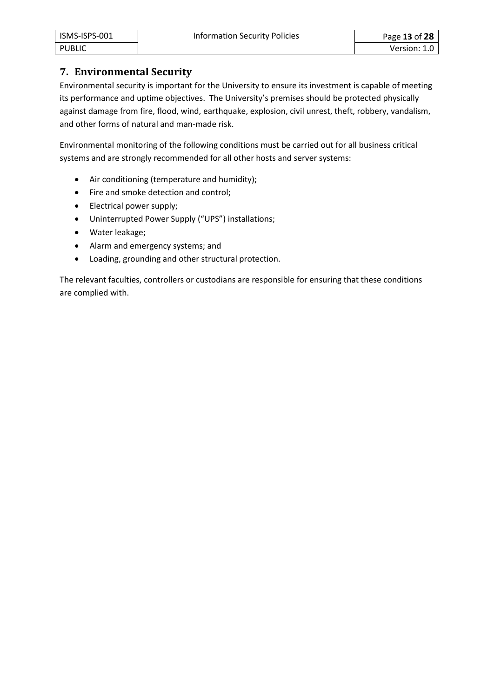| ISMS-ISPS-001 | <b>Information Security Policies</b> | Page 13 of 28 |
|---------------|--------------------------------------|---------------|
| PUBLIC        |                                      | Version: 1.0  |

## <span id="page-17-0"></span>**7. Environmental Security**

Environmental security is important for the University to ensure its investment is capable of meeting its performance and uptime objectives. The University's premises should be protected physically against damage from fire, flood, wind, earthquake, explosion, civil unrest, theft, robbery, vandalism, and other forms of natural and man-made risk.

Environmental monitoring of the following conditions must be carried out for all business critical systems and are strongly recommended for all other hosts and server systems:

- Air conditioning (temperature and humidity);
- Fire and smoke detection and control;
- Electrical power supply;
- Uninterrupted Power Supply ("UPS") installations;
- Water leakage;
- Alarm and emergency systems; and
- Loading, grounding and other structural protection.

The relevant faculties, controllers or custodians are responsible for ensuring that these conditions are complied with.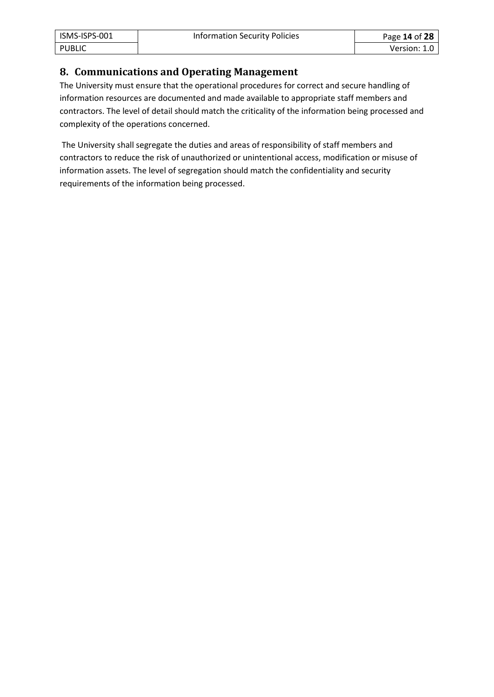| ISMS-ISPS-001 | <b>Information Security Policies</b> | Page 14 of 28 |
|---------------|--------------------------------------|---------------|
| <b>PUBLIC</b> |                                      | Version: 1.0  |

## <span id="page-18-0"></span>**8. Communications and Operating Management**

The University must ensure that the operational procedures for correct and secure handling of information resources are documented and made available to appropriate staff members and contractors. The level of detail should match the criticality of the information being processed and complexity of the operations concerned.

The University shall segregate the duties and areas of responsibility of staff members and contractors to reduce the risk of unauthorized or unintentional access, modification or misuse of information assets. The level of segregation should match the confidentiality and security requirements of the information being processed.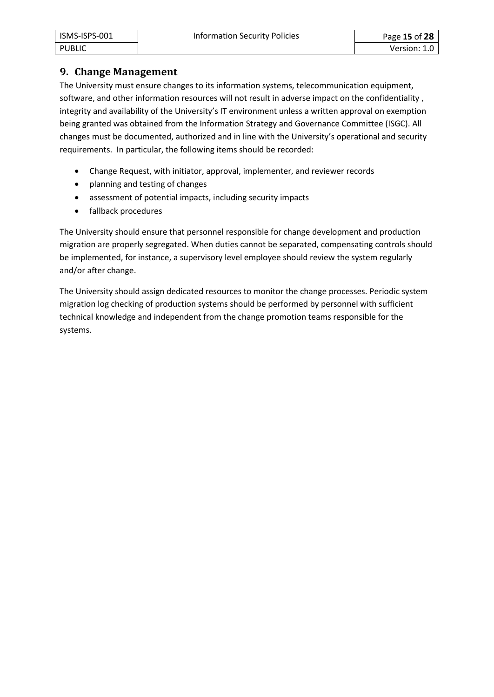| ISMS-ISPS-001 | <b>Information Security Policies</b> | Page 15 of 28 |
|---------------|--------------------------------------|---------------|
| PUBLIC        |                                      | Version: 1.0  |

## <span id="page-19-0"></span>**9. Change Management**

The University must ensure changes to its information systems, telecommunication equipment, software, and other information resources will not result in adverse impact on the confidentiality , integrity and availability of the University's IT environment unless a written approval on exemption being granted was obtained from the Information Strategy and Governance Committee (ISGC). All changes must be documented, authorized and in line with the University's operational and security requirements. In particular, the following items should be recorded:

- Change Request, with initiator, approval, implementer, and reviewer records
- planning and testing of changes
- assessment of potential impacts, including security impacts
- fallback procedures

The University should ensure that personnel responsible for change development and production migration are properly segregated. When duties cannot be separated, compensating controls should be implemented, for instance, a supervisory level employee should review the system regularly and/or after change.

The University should assign dedicated resources to monitor the change processes. Periodic system migration log checking of production systems should be performed by personnel with sufficient technical knowledge and independent from the change promotion teams responsible for the systems.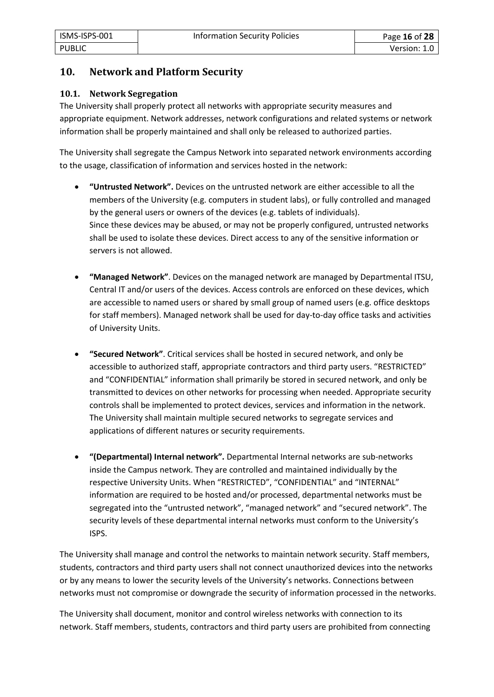## <span id="page-20-0"></span>**10. Network and Platform Security**

#### <span id="page-20-1"></span>**10.1. Network Segregation**

The University shall properly protect all networks with appropriate security measures and appropriate equipment. Network addresses, network configurations and related systems or network information shall be properly maintained and shall only be released to authorized parties.

The University shall segregate the Campus Network into separated network environments according to the usage, classification of information and services hosted in the network:

- **"Untrusted Network".** Devices on the untrusted network are either accessible to all the members of the University (e.g. computers in student labs), or fully controlled and managed by the general users or owners of the devices (e.g. tablets of individuals). Since these devices may be abused, or may not be properly configured, untrusted networks shall be used to isolate these devices. Direct access to any of the sensitive information or servers is not allowed.
- **"Managed Network"**. Devices on the managed network are managed by Departmental ITSU, Central IT and/or users of the devices. Access controls are enforced on these devices, which are accessible to named users or shared by small group of named users (e.g. office desktops for staff members). Managed network shall be used for day-to-day office tasks and activities of University Units.
- **"Secured Network"**. Critical services shall be hosted in secured network, and only be accessible to authorized staff, appropriate contractors and third party users. "RESTRICTED" and "CONFIDENTIAL" information shall primarily be stored in secured network, and only be transmitted to devices on other networks for processing when needed. Appropriate security controls shall be implemented to protect devices, services and information in the network. The University shall maintain multiple secured networks to segregate services and applications of different natures or security requirements.
- **"(Departmental) Internal network".** Departmental Internal networks are sub-networks inside the Campus network. They are controlled and maintained individually by the respective University Units. When "RESTRICTED", "CONFIDENTIAL" and "INTERNAL" information are required to be hosted and/or processed, departmental networks must be segregated into the "untrusted network", "managed network" and "secured network". The security levels of these departmental internal networks must conform to the University's ISPS.

The University shall manage and control the networks to maintain network security. Staff members, students, contractors and third party users shall not connect unauthorized devices into the networks or by any means to lower the security levels of the University's networks. Connections between networks must not compromise or downgrade the security of information processed in the networks.

The University shall document, monitor and control wireless networks with connection to its network. Staff members, students, contractors and third party users are prohibited from connecting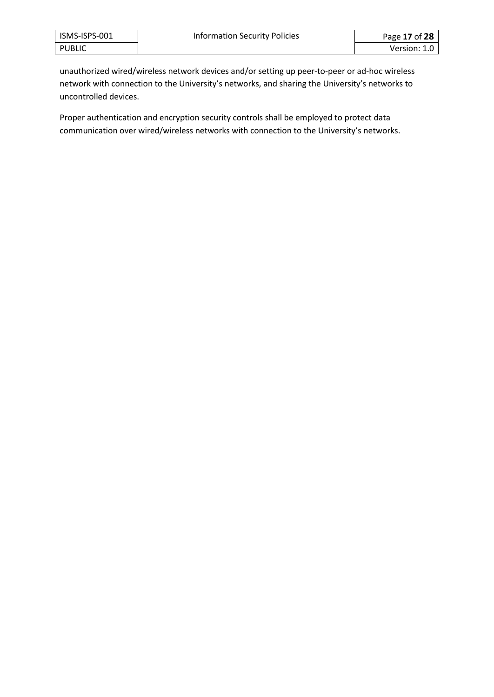| ISMS-ISPS-001 | <b>Information Security Policies</b> | Page 17 of 28 |
|---------------|--------------------------------------|---------------|
| <b>PUBLIC</b> |                                      | Version: 1.0  |

unauthorized wired/wireless network devices and/or setting up peer-to-peer or ad-hoc wireless network with connection to the University's networks, and sharing the University's networks to uncontrolled devices.

Proper authentication and encryption security controls shall be employed to protect data communication over wired/wireless networks with connection to the University's networks.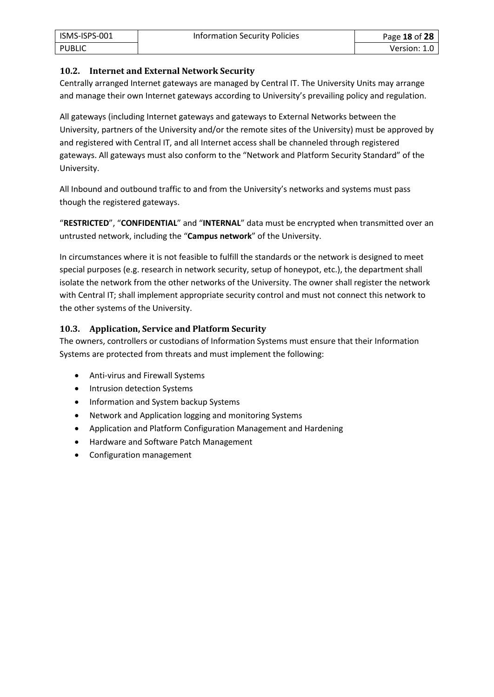| ISMS-ISPS-001 | <b>Information Security Policies</b> | Page 18 of 28  |
|---------------|--------------------------------------|----------------|
| PUBLIC        |                                      | Version: $1.0$ |

#### <span id="page-22-0"></span>**10.2. Internet and External Network Security**

Centrally arranged Internet gateways are managed by Central IT. The University Units may arrange and manage their own Internet gateways according to University's prevailing policy and regulation.

All gateways (including Internet gateways and gateways to External Networks between the University, partners of the University and/or the remote sites of the University) must be approved by and registered with Central IT, and all Internet access shall be channeled through registered gateways. All gateways must also conform to the "Network and Platform Security Standard" of the University.

All Inbound and outbound traffic to and from the University's networks and systems must pass though the registered gateways.

"**RESTRICTED**", "**CONFIDENTIAL**" and "**INTERNAL**" data must be encrypted when transmitted over an untrusted network, including the "**Campus network**" of the University.

In circumstances where it is not feasible to fulfill the standards or the network is designed to meet special purposes (e.g. research in network security, setup of honeypot, etc.), the department shall isolate the network from the other networks of the University. The owner shall register the network with Central IT; shall implement appropriate security control and must not connect this network to the other systems of the University.

#### <span id="page-22-1"></span>**10.3. Application, Service and Platform Security**

The owners, controllers or custodians of Information Systems must ensure that their Information Systems are protected from threats and must implement the following:

- Anti-virus and Firewall Systems
- Intrusion detection Systems
- Information and System backup Systems
- Network and Application logging and monitoring Systems
- Application and Platform Configuration Management and Hardening
- Hardware and Software Patch Management
- Configuration management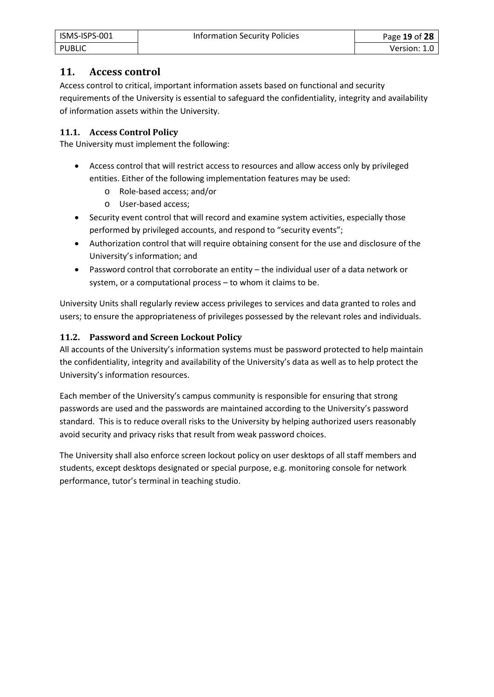| ISMS-ISPS-001 | <b>Information Security Policies</b> | Page 19 of 28 |
|---------------|--------------------------------------|---------------|
| PUBLIC        |                                      | Version: 1.0  |

## <span id="page-23-0"></span>**11. Access control**

Access control to critical, important information assets based on functional and security requirements of the University is essential to safeguard the confidentiality, integrity and availability of information assets within the University.

#### <span id="page-23-1"></span>**11.1. Access Control Policy**

The University must implement the following:

- Access control that will restrict access to resources and allow access only by privileged entities. Either of the following implementation features may be used:
	- o Role-based access; and/or
	- o User-based access;
- Security event control that will record and examine system activities, especially those performed by privileged accounts, and respond to "security events";
- Authorization control that will require obtaining consent for the use and disclosure of the University's information; and
- Password control that corroborate an entity the individual user of a data network or system, or a computational process – to whom it claims to be.

University Units shall regularly review access privileges to services and data granted to roles and users; to ensure the appropriateness of privileges possessed by the relevant roles and individuals.

## <span id="page-23-2"></span>**11.2. Password and Screen Lockout Policy**

All accounts of the University's information systems must be password protected to help maintain the confidentiality, integrity and availability of the University's data as well as to help protect the University's information resources.

Each member of the University's campus community is responsible for ensuring that strong passwords are used and the passwords are maintained according to the University's password standard. This is to reduce overall risks to the University by helping authorized users reasonably avoid security and privacy risks that result from weak password choices.

The University shall also enforce screen lockout policy on user desktops of all staff members and students, except desktops designated or special purpose, e.g. monitoring console for network performance, tutor's terminal in teaching studio.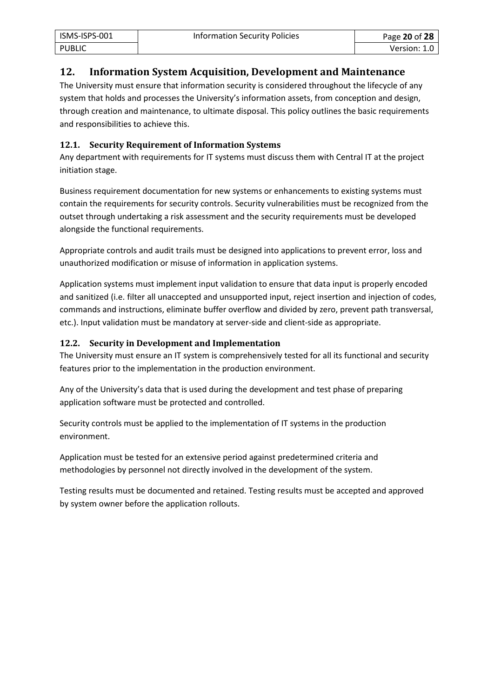| ISMS-ISPS-001 | <b>Information Security Policies</b> | Page 20 of 28 |
|---------------|--------------------------------------|---------------|
| <b>PUBLIC</b> |                                      | Version: 1.0  |

## <span id="page-24-0"></span>**12. Information System Acquisition, Development and Maintenance**

The University must ensure that information security is considered throughout the lifecycle of any system that holds and processes the University's information assets, from conception and design, through creation and maintenance, to ultimate disposal. This policy outlines the basic requirements and responsibilities to achieve this.

#### <span id="page-24-1"></span>**12.1. Security Requirement of Information Systems**

Any department with requirements for IT systems must discuss them with Central IT at the project initiation stage.

Business requirement documentation for new systems or enhancements to existing systems must contain the requirements for security controls. Security vulnerabilities must be recognized from the outset through undertaking a risk assessment and the security requirements must be developed alongside the functional requirements.

Appropriate controls and audit trails must be designed into applications to prevent error, loss and unauthorized modification or misuse of information in application systems.

Application systems must implement input validation to ensure that data input is properly encoded and sanitized (i.e. filter all unaccepted and unsupported input, reject insertion and injection of codes, commands and instructions, eliminate buffer overflow and divided by zero, prevent path transversal, etc.). Input validation must be mandatory at server-side and client-side as appropriate.

#### <span id="page-24-2"></span>**12.2. Security in Development and Implementation**

The University must ensure an IT system is comprehensively tested for all its functional and security features prior to the implementation in the production environment.

Any of the University's data that is used during the development and test phase of preparing application software must be protected and controlled.

Security controls must be applied to the implementation of IT systems in the production environment.

Application must be tested for an extensive period against predetermined criteria and methodologies by personnel not directly involved in the development of the system.

Testing results must be documented and retained. Testing results must be accepted and approved by system owner before the application rollouts.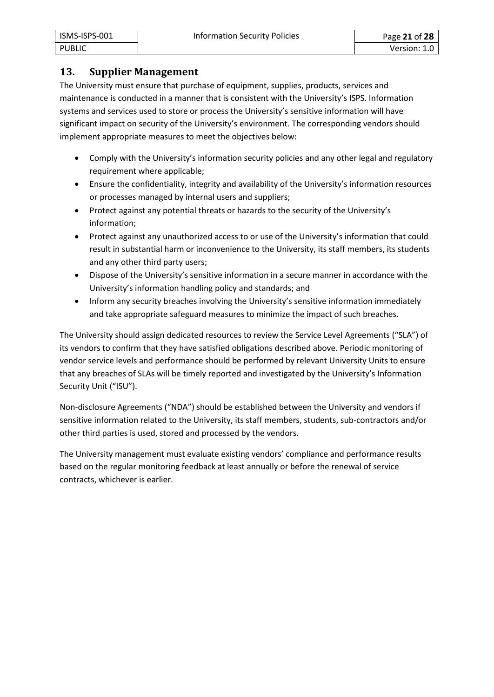| ISMS-ISPS-001 | <b>Information Security Policies</b> | Page 21 of 28 |
|---------------|--------------------------------------|---------------|
| <b>PUBLIC</b> |                                      | Version: 1.0  |

## <span id="page-25-0"></span>**13. Supplier Management**

The University must ensure that purchase of equipment, supplies, products, services and maintenance is conducted in a manner that is consistent with the University's ISPS. Information systems and services used to store or process the University's sensitive information will have significant impact on security of the University's environment. The corresponding vendors should implement appropriate measures to meet the objectives below:

- Comply with the University's information security policies and any other legal and regulatory requirement where applicable;
- Ensure the confidentiality, integrity and availability of the University's information resources or processes managed by internal users and suppliers;
- Protect against any potential threats or hazards to the security of the University's information;
- Protect against any unauthorized access to or use of the University's information that could result in substantial harm or inconvenience to the University, its staff members, its students and any other third party users;
- Dispose of the University's sensitive information in a secure manner in accordance with the University's information handling policy and standards; and
- Inform any security breaches involving the University's sensitive information immediately and take appropriate safeguard measures to minimize the impact of such breaches.

The University should assign dedicated resources to review the Service Level Agreements ("SLA") of its vendors to confirm that they have satisfied obligations described above. Periodic monitoring of vendor service levels and performance should be performed by relevant University Units to ensure that any breaches of SLAs will be timely reported and investigated by the University's Information Security Unit ("ISU").

Non-disclosure Agreements ("NDA") should be established between the University and vendors if sensitive information related to the University, its staff members, students, sub-contractors and/or other third parties is used, stored and processed by the vendors.

The University management must evaluate existing vendors' compliance and performance results based on the regular monitoring feedback at least annually or before the renewal of service contracts, whichever is earlier.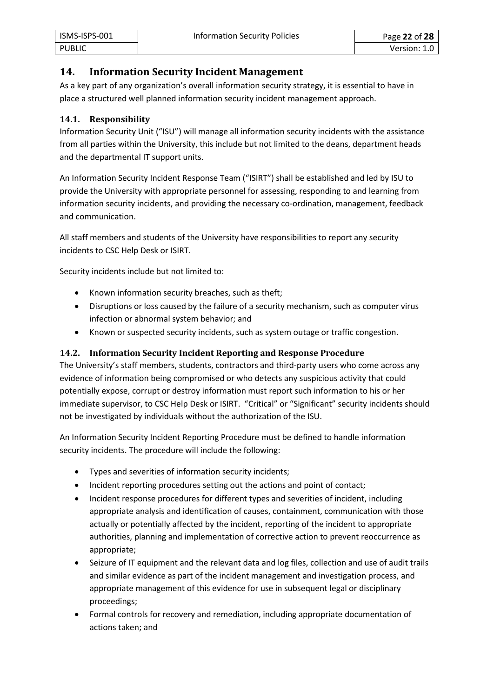| ISMS-ISPS-001 | <b>Information Security Policies</b> | Page 22 of 28 |
|---------------|--------------------------------------|---------------|
| PUBLIC        |                                      | Version: 1.0  |

## <span id="page-26-0"></span>**14. Information Security Incident Management**

As a key part of any organization's overall information security strategy, it is essential to have in place a structured well planned information security incident management approach.

#### <span id="page-26-1"></span>**14.1. Responsibility**

Information Security Unit ("ISU") will manage all information security incidents with the assistance from all parties within the University, this include but not limited to the deans, department heads and the departmental IT support units.

An Information Security Incident Response Team ("ISIRT") shall be established and led by ISU to provide the University with appropriate personnel for assessing, responding to and learning from information security incidents, and providing the necessary co-ordination, management, feedback and communication.

All staff members and students of the University have responsibilities to report any security incidents to CSC Help Desk or ISIRT.

Security incidents include but not limited to:

- Known information security breaches, such as theft;
- Disruptions or loss caused by the failure of a security mechanism, such as computer virus infection or abnormal system behavior; and
- Known or suspected security incidents, such as system outage or traffic congestion.

#### <span id="page-26-2"></span>**14.2. Information Security Incident Reporting and Response Procedure**

The University's staff members, students, contractors and third-party users who come across any evidence of information being compromised or who detects any suspicious activity that could potentially expose, corrupt or destroy information must report such information to his or her immediate supervisor, to CSC Help Desk or ISIRT. "Critical" or "Significant" security incidents should not be investigated by individuals without the authorization of the ISU.

An Information Security Incident Reporting Procedure must be defined to handle information security incidents. The procedure will include the following:

- Types and severities of information security incidents;
- Incident reporting procedures setting out the actions and point of contact;
- Incident response procedures for different types and severities of incident, including appropriate analysis and identification of causes, containment, communication with those actually or potentially affected by the incident, reporting of the incident to appropriate authorities, planning and implementation of corrective action to prevent reoccurrence as appropriate;
- Seizure of IT equipment and the relevant data and log files, collection and use of audit trails and similar evidence as part of the incident management and investigation process, and appropriate management of this evidence for use in subsequent legal or disciplinary proceedings;
- Formal controls for recovery and remediation, including appropriate documentation of actions taken; and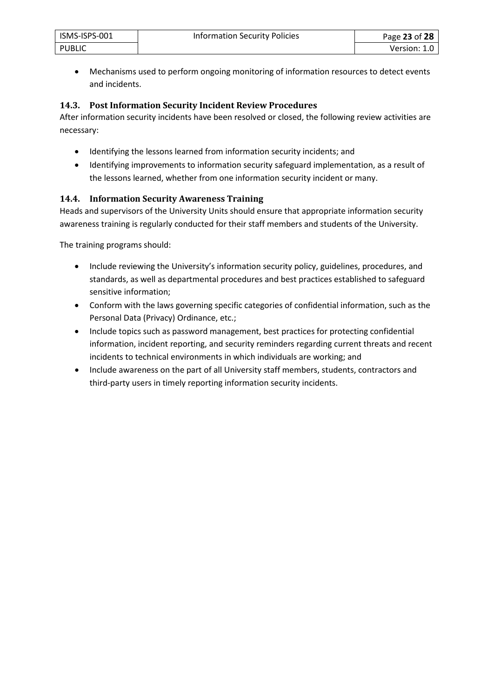| ISMS-ISPS-001 | <b>Information Security Policies</b> | Page 23 of 28 |
|---------------|--------------------------------------|---------------|
| <b>PUBLIC</b> |                                      | Version: 1.0  |

• Mechanisms used to perform ongoing monitoring of information resources to detect events and incidents.

#### <span id="page-27-0"></span>**14.3. Post Information Security Incident Review Procedures**

After information security incidents have been resolved or closed, the following review activities are necessary:

- Identifying the lessons learned from information security incidents; and
- Identifying improvements to information security safeguard implementation, as a result of the lessons learned, whether from one information security incident or many.

#### <span id="page-27-1"></span>**14.4. Information Security Awareness Training**

Heads and supervisors of the University Units should ensure that appropriate information security awareness training is regularly conducted for their staff members and students of the University.

The training programs should:

- Include reviewing the University's information security policy, guidelines, procedures, and standards, as well as departmental procedures and best practices established to safeguard sensitive information;
- Conform with the laws governing specific categories of confidential information, such as the Personal Data (Privacy) Ordinance, etc.;
- Include topics such as password management, best practices for protecting confidential information, incident reporting, and security reminders regarding current threats and recent incidents to technical environments in which individuals are working; and
- Include awareness on the part of all University staff members, students, contractors and third-party users in timely reporting information security incidents.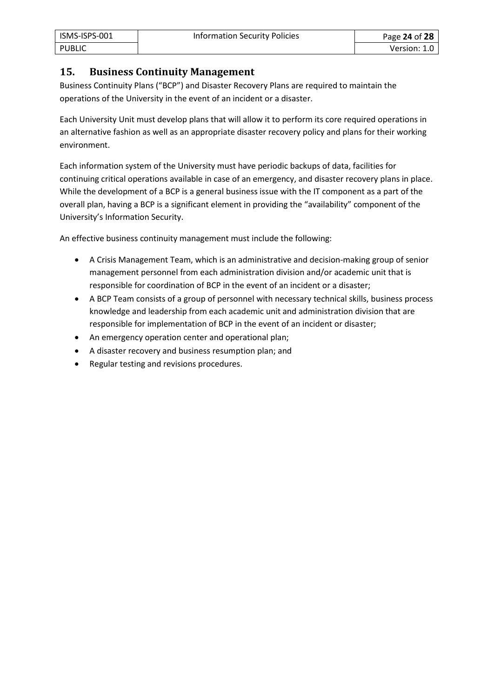| ISMS-ISPS-001 | <b>Information Security Policies</b> | Page 24 of 28 |
|---------------|--------------------------------------|---------------|
| PUBLIC        |                                      | Version: 1.0  |

## <span id="page-28-0"></span>**15. Business Continuity Management**

Business Continuity Plans ("BCP") and Disaster Recovery Plans are required to maintain the operations of the University in the event of an incident or a disaster.

Each University Unit must develop plans that will allow it to perform its core required operations in an alternative fashion as well as an appropriate disaster recovery policy and plans for their working environment.

Each information system of the University must have periodic backups of data, facilities for continuing critical operations available in case of an emergency, and disaster recovery plans in place. While the development of a BCP is a general business issue with the IT component as a part of the overall plan, having a BCP is a significant element in providing the "availability" component of the University's Information Security.

An effective business continuity management must include the following:

- A Crisis Management Team, which is an administrative and decision-making group of senior management personnel from each administration division and/or academic unit that is responsible for coordination of BCP in the event of an incident or a disaster;
- A BCP Team consists of a group of personnel with necessary technical skills, business process knowledge and leadership from each academic unit and administration division that are responsible for implementation of BCP in the event of an incident or disaster;
- An emergency operation center and operational plan;
- A disaster recovery and business resumption plan; and
- Regular testing and revisions procedures.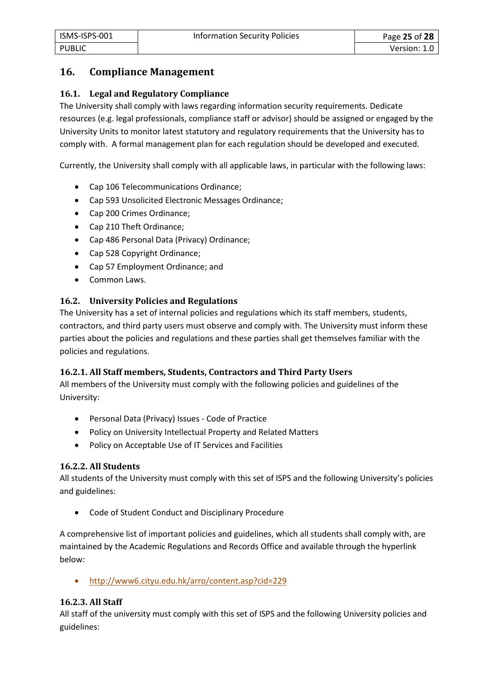## <span id="page-29-0"></span>**16. Compliance Management**

#### <span id="page-29-1"></span>**16.1. Legal and Regulatory Compliance**

The University shall comply with laws regarding information security requirements. Dedicate resources (e.g. legal professionals, compliance staff or advisor) should be assigned or engaged by the University Units to monitor latest statutory and regulatory requirements that the University has to comply with. A formal management plan for each regulation should be developed and executed.

Currently, the University shall comply with all applicable laws, in particular with the following laws:

- Cap 106 Telecommunications Ordinance;
- Cap 593 Unsolicited Electronic Messages Ordinance;
- Cap 200 Crimes Ordinance;
- Cap 210 Theft Ordinance;
- Cap 486 Personal Data (Privacy) Ordinance;
- Cap 528 Copyright Ordinance;
- Cap 57 Employment Ordinance; and
- Common Laws.

#### <span id="page-29-2"></span>**16.2. University Policies and Regulations**

The University has a set of internal policies and regulations which its staff members, students, contractors, and third party users must observe and comply with. The University must inform these parties about the policies and regulations and these parties shall get themselves familiar with the policies and regulations.

#### <span id="page-29-3"></span>**16.2.1. All Staff members, Students, Contractors and Third Party Users**

All members of the University must comply with the following policies and guidelines of the University:

- Personal Data (Privacy) Issues Code of Practice
- Policy on University Intellectual Property and Related Matters
- Policy on Acceptable Use of IT Services and Facilities

#### <span id="page-29-4"></span>**16.2.2. All Students**

All students of the University must comply with this set of ISPS and the following University's policies and guidelines:

• Code of Student Conduct and Disciplinary Procedure

A comprehensive list of important policies and guidelines, which all students shall comply with, are maintained by the Academic Regulations and Records Office and available through the hyperlink below:

• <http://www6.cityu.edu.hk/arro/content.asp?cid=229>

#### <span id="page-29-5"></span>**16.2.3. All Staff**

All staff of the university must comply with this set of ISPS and the following University policies and guidelines: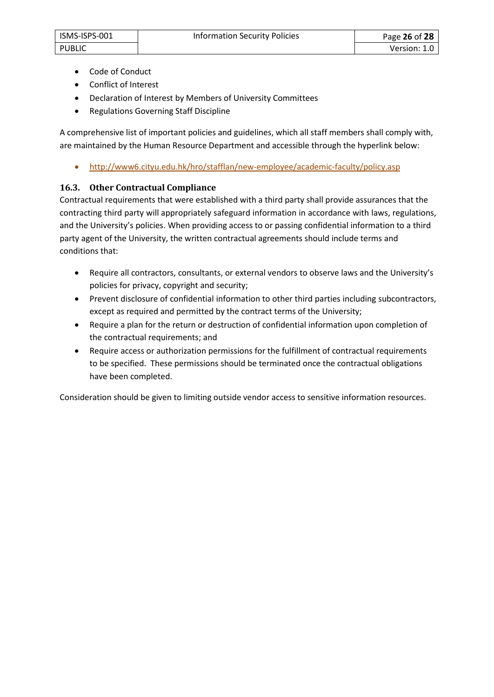- Code of Conduct
- Conflict of Interest
- Declaration of Interest by Members of University Committees
- Regulations Governing Staff Discipline

A comprehensive list of important policies and guidelines, which all staff members shall comply with, are maintained by the Human Resource Department and accessible through the hyperlink below:

• <http://www6.cityu.edu.hk/hro/stafflan/new-employee/academic-faculty/policy.asp>

#### <span id="page-30-0"></span>**16.3. Other Contractual Compliance**

Contractual requirements that were established with a third party shall provide assurances that the contracting third party will appropriately safeguard information in accordance with laws, regulations, and the University's policies. When providing access to or passing confidential information to a third party agent of the University, the written contractual agreements should include terms and conditions that:

- Require all contractors, consultants, or external vendors to observe laws and the University's policies for privacy, copyright and security;
- Prevent disclosure of confidential information to other third parties including subcontractors, except as required and permitted by the contract terms of the University;
- Require a plan for the return or destruction of confidential information upon completion of the contractual requirements; and
- Require access or authorization permissions for the fulfillment of contractual requirements to be specified. These permissions should be terminated once the contractual obligations have been completed.

Consideration should be given to limiting outside vendor access to sensitive information resources.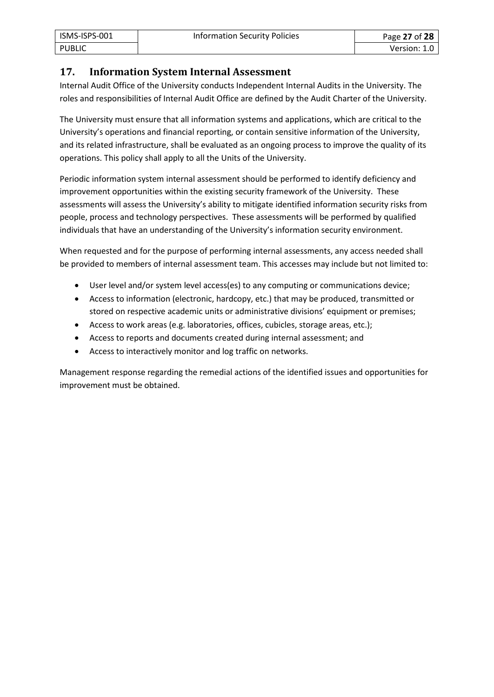## <span id="page-31-0"></span>**17. Information System Internal Assessment**

Internal Audit Office of the University conducts Independent Internal Audits in the University. The roles and responsibilities of Internal Audit Office are defined by the Audit Charter of the University.

The University must ensure that all information systems and applications, which are critical to the University's operations and financial reporting, or contain sensitive information of the University, and its related infrastructure, shall be evaluated as an ongoing process to improve the quality of its operations. This policy shall apply to all the Units of the University.

Periodic information system internal assessment should be performed to identify deficiency and improvement opportunities within the existing security framework of the University. These assessments will assess the University's ability to mitigate identified information security risks from people, process and technology perspectives. These assessments will be performed by qualified individuals that have an understanding of the University's information security environment.

When requested and for the purpose of performing internal assessments, any access needed shall be provided to members of internal assessment team. This accesses may include but not limited to:

- User level and/or system level access(es) to any computing or communications device;
- Access to information (electronic, hardcopy, etc.) that may be produced, transmitted or stored on respective academic units or administrative divisions' equipment or premises;
- Access to work areas (e.g. laboratories, offices, cubicles, storage areas, etc.);
- Access to reports and documents created during internal assessment; and
- Access to interactively monitor and log traffic on networks.

Management response regarding the remedial actions of the identified issues and opportunities for improvement must be obtained.